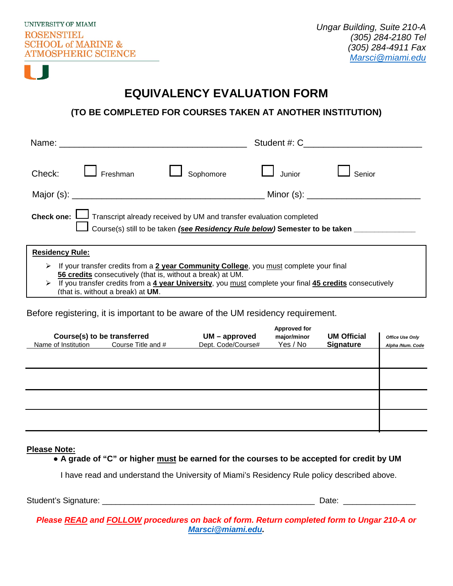

## **EQUIVALENCY EVALUATION FORM**

## **(TO BE COMPLETED FOR COURSES TAKEN AT ANOTHER INSTITUTION)**

| Check: $\Box$ Freshman                                                                                                                                                           |  | $\Box$ Sophomore | $\Box$ Junior | Senior                     |  |  |  |  |
|----------------------------------------------------------------------------------------------------------------------------------------------------------------------------------|--|------------------|---------------|----------------------------|--|--|--|--|
|                                                                                                                                                                                  |  |                  |               | Minor (s): $\qquad \qquad$ |  |  |  |  |
| Check one: $\Box$ Transcript already received by UM and transfer evaluation completed<br>Course(s) still to be taken (see Residency Rule below) Semester to be taken ___________ |  |                  |               |                            |  |  |  |  |

## **Residency Rule:**

- If your transfer credits from a **2 year Community College**, you must complete your final **56 credits** consecutively (that is, without a break) at UM.
- If you transfer credits from a **4 year University**, you must complete your final **45 credits** consecutively (that is, without a break) at **UM**.

Before registering, it is important to be aware of the UM residency requirement.

| Course(s) to be transferred |  |                    | $UM$ – approved    | <b>Approved for</b><br>major/minor | <b>UM Official</b> | <b>Office Use Only</b> |
|-----------------------------|--|--------------------|--------------------|------------------------------------|--------------------|------------------------|
| Name of Institution         |  | Course Title and # | Dept. Code/Course# | Yes / No                           | <b>Signature</b>   | Alpha /Num. Code       |
|                             |  |                    |                    |                                    |                    |                        |
|                             |  |                    |                    |                                    |                    |                        |
|                             |  |                    |                    |                                    |                    |                        |
|                             |  |                    |                    |                                    |                    |                        |
|                             |  |                    |                    |                                    |                    |                        |
|                             |  |                    |                    |                                    |                    |                        |
|                             |  |                    |                    |                                    |                    |                        |

**Please Note:**

**● A grade of "C" or higher must be earned for the courses to be accepted for credit by UM** 

I have read and understand the University of Miami's Residency Rule policy described above.

Student's Signature: \_\_\_\_\_\_\_\_\_\_\_\_\_\_\_\_\_\_\_\_\_\_\_\_\_\_\_\_\_\_\_\_\_\_\_\_\_\_\_\_\_\_\_\_\_\_\_ Date: \_\_\_\_\_\_\_\_\_\_\_\_\_\_\_\_

*Please READ and FOLLOW procedures on back of form. Return completed form to Ungar 210-A or [Marsci@miami.edu.](mailto:Marsci@miami.edu)*